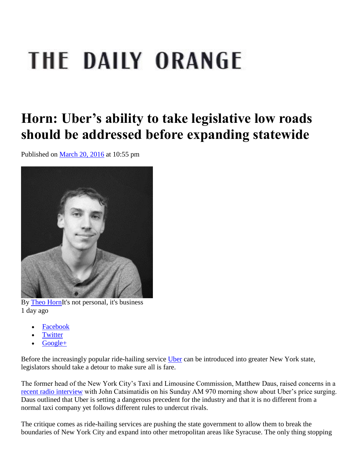## THE DAILY ORANGE

## **Horn: Uber's ability to take legislative low roads should be addressed before expanding statewide**

Published on [March 20, 2016](http://dailyorange.com/2016/03/20/) at 10:55 pm



By [Theo HornI](http://dailyorange.com/writers/theo-horn/)t's not personal, it's business 1 day ago

- [Facebook](http://www.facebook.com/share.php?u=http%3A//dailyorange.com/2016/03/horn-ubers-ability-to-take-legislative-low-roads-should-be-addressed-before-expanding-statewide/)
- **[Twitter](http://twitter.com/intent/tweet?url=http%3A//dailyorange.com/2016/03/horn-ubers-ability-to-take-legislative-low-roads-should-be-addressed-before-expanding-statewide/)**
- [Google+](https://plus.google.com/share?url=http%3A//dailyorange.com/2016/03/horn-ubers-ability-to-take-legislative-low-roads-should-be-addressed-before-expanding-statewide/)

Before the increasingly popular ride-hailing service [Uber](https://www.uber.com/) can be introduced into greater New York state, legislators should take a detour to make sure all is fare.

The former head of the New York City's Taxi and Limousine Commission, Matthew Daus, raised concerns in a [recent radio interview](http://www.nydailynews.com/new-york/nyc-tlc-head-limit-uber-price-surging-article-1.2562961) with John Catsimatidis on his Sunday AM 970 morning show about Uber's price surging. Daus outlined that Uber is setting a dangerous precedent for the industry and that it is no different from a normal taxi company yet follows different rules to undercut rivals.

The critique comes as ride-hailing services are pushing the state government to allow them to break the boundaries of New York City and expand into other metropolitan areas like Syracuse. The only thing stopping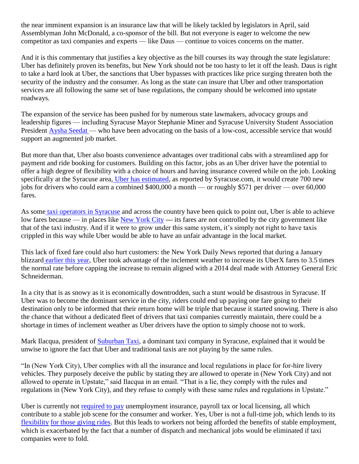the near imminent expansion is an insurance law that will be likely tackled by legislators in April, said Assemblyman John McDonald, a co-sponsor of the bill. But not everyone is eager to welcome the new competitor as taxi companies and experts — like Daus — continue to voices concerns on the matter.

And it is this commentary that justifies a key objective as the bill courses its way through the state legislature: Uber has definitely proven its benefits, but New York should not be too hasty to let it off the leash. Daus is right to take a hard look at Uber, the sanctions that Uber bypasses with practices like price surging threaten both the security of the industry and the consumer. As long as the state can insure that Uber and other transportation services are all following the same set of base regulations, the company should be welcomed into upstate roadways.

The expansion of the service has been pushed for by numerous state lawmakers, advocacy groups and leadership figures — including Syracuse Mayor Stephanie Miner and Syracuse University Student Association President [Aysha Seedat —](http://dailyorange.com/2015/10/sa-letter-to-push-for-uber-to-come-to-syracuse/) who have been advocating on the basis of a low-cost, accessible service that would support an augmented job market.

But more than that, Uber also boasts convenience advantages over traditional cabs with a streamlined app for payment and ride booking for customers. Building on this factor, jobs as an Uber driver have the potential to offer a high degree of flexibility with a choice of hours and having insurance covered while on the job. Looking specifically at the Syracuse area, [Uber has estimated,](http://www.syracuse.com/state/index.ssf/2015/11/uber_v_taxi_would_ride-booking_hurt_or_help_upstate_new_york.html) as reported by Syracuse.com, it would create 700 new jobs for drivers who could earn a combined \$400,000 a month — or roughly \$571 per driver — over 60,000 fares.

As some [taxi operators in Syracuse](http://www.syracuse.com/state/index.ssf/2015/11/uber_v_taxi_would_ride-booking_hurt_or_help_upstate_new_york.html) and across the country have been quick to point out, Uber is able to achieve low fares because — in places like [New York City](http://www.dailydot.com/technology/uber-nyc-taxi-cheaper-price-war/) **—** its fares are not controlled by the city government like that of the taxi industry. And if it were to grow under this same system, it's simply not right to have taxis crippled in this way while Uber would be able to have an unfair advantage in the local market.

This lack of fixed fare could also hurt customers: the New York Daily News reported that during a January blizzard [earlier this year,](http://www.nydailynews.com/new-york/nyc-tlc-head-limit-uber-price-surging-article-1.2562961) Uber took advantage of the inclement weather to increase its UberX fares to 3.5 times the normal rate before capping the increase to remain aligned with a 2014 deal made with Attorney General Eric Schneiderman.

In a city that is as snowy as it is economically downtrodden, such a stunt would be disastrous in Syracuse. If Uber was to become the dominant service in the city, riders could end up paying one fare going to their destination only to be informed that their return home will be triple that because it started snowing. There is also the chance that without a dedicated fleet of drivers that taxi companies currently maintain, there could be a shortage in times of inclement weather as Uber drivers have the option to simply choose not to work.

Mark Ilacqua, president of [Suburban Taxi,](http://www.needacab.com/) a dominant taxi company in Syracuse, explained that it would be unwise to ignore the fact that Uber and traditional taxis are not playing by the same rules.

"In (New York City), Uber complies with all the insurance and local regulations in place for for-hire livery vehicles. They purposely deceive the public by stating they are allowed to operate in (New York City) and not allowed to operate in Upstate," said Ilacqua in an email. "That is a lie, they comply with the rules and regulations in (New York City), and they refuse to comply with these same rules and regulations in Upstate."

Uber is currently not [required to pay](http://www.syracuse.com/state/index.ssf/2015/11/uber_v_taxi_would_ride-booking_hurt_or_help_upstate_new_york.html) unemployment insurance, payroll tax or local licensing, all which contribute to a stable job scene for the consumer and worker. Yes, Uber is not a full-time job, which lends to it[s](http://www.syracuse.com/state/index.ssf/2015/12/uber_pushes_to_expand_into_upstate_ny_including_syracuse_taxi_companies_fight_ba.html) [flexibility](http://www.syracuse.com/state/index.ssf/2015/12/uber_pushes_to_expand_into_upstate_ny_including_syracuse_taxi_companies_fight_ba.html) [for those giving rides.](http://www.syracuse.com/state/index.ssf/2015/12/uber_pushes_to_expand_into_upstate_ny_including_syracuse_taxi_companies_fight_ba.html) But this leads to workers not being afforded the benefits of stable employment, which is exacerbated by the fact that a number of dispatch and mechanical jobs would be eliminated if taxi companies were to fold.